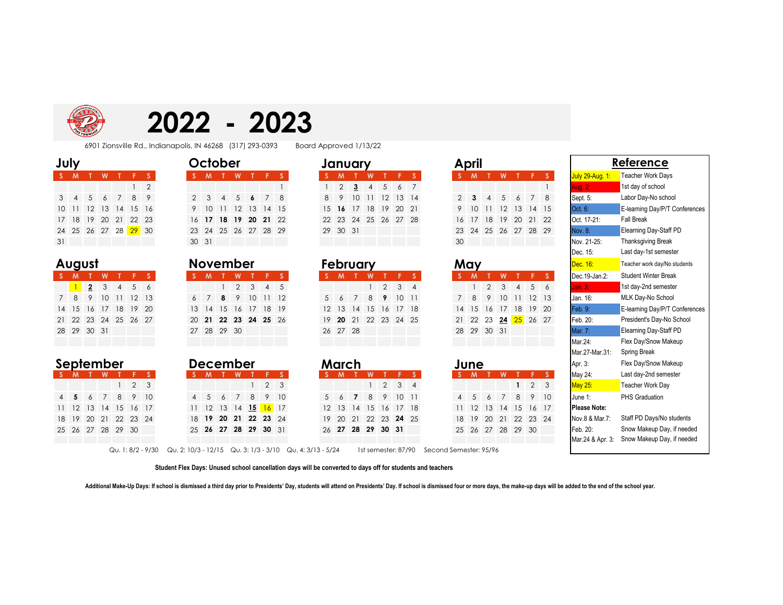

# **2022 - 2023**

6901 Zionsville Rd., Indianapolis, IN 46268 (317) 293-0393 Board Approved 1/13/22

| <b>,</b> |  |  |
|----------|--|--|
|          |  |  |
|          |  |  |
|          |  |  |

|    |                |  |                      | 2 |
|----|----------------|--|----------------------|---|
| 3  | $\overline{4}$ |  | 5 6 7 8 9            |   |
|    |                |  | 10 11 12 13 14 15 16 |   |
|    |                |  | 17 18 19 20 21 22 23 |   |
|    |                |  | 24 25 26 27 28 29 30 |   |
| 31 |                |  |                      |   |

### August

|    | <b>M</b> |                | w           | گو                   | - F 1 |  |
|----|----------|----------------|-------------|----------------------|-------|--|
|    |          | $\overline{2}$ | $3 \quad 4$ |                      | 5 6   |  |
|    |          | 8 9            |             | 10 11 12 13          |       |  |
|    |          |                |             | 14 15 16 17 18 19 20 |       |  |
|    |          |                |             | 21 22 23 24 25 26 27 |       |  |
| 28 | 29 30 31 |                |             |                      |       |  |
|    |          |                |             |                      |       |  |

|  |  | September | <b>December</b> |
|--|--|-----------|-----------------|
|--|--|-----------|-----------------|

|                      |  | $\mathbf{1}$ | 2 3 |  |
|----------------------|--|--------------|-----|--|
|                      |  | 5 6 7 8 9 10 |     |  |
| 11 12 13 14 15 16 17 |  |              |     |  |
| 18 19 20 21 22 23 24 |  |              |     |  |
| 25 26 27 28 29 30    |  |              |     |  |

|    | July            |                   |                |   |     |                |
|----|-----------------|-------------------|----------------|---|-----|----------------|
|    | M               |                   | W              | т | F   | -S             |
|    |                 |                   |                |   |     | $\overline{2}$ |
| 3  |                 | 5                 | 6 7 8          |   |     | - 9            |
| 10 | $\overline{11}$ |                   | 12 13 14 15 16 |   |     |                |
|    |                 | 18 19 20 21 22 23 |                |   |     |                |
|    |                 | 24 25 26 27 28    |                |   | -29 | -30            |
|    |                 |                   |                |   |     |                |

| August |     |                | <b>November</b> |          |                 |                      |  |  |   |             |     |                      |                |     |
|--------|-----|----------------|-----------------|----------|-----------------|----------------------|--|--|---|-------------|-----|----------------------|----------------|-----|
| $S$ M  |     |                |                 |          |                 |                      |  |  | M |             |     |                      |                |     |
|        |     | $\overline{2}$ | 3 <sup>1</sup>  | $\sim$ 4 |                 | 56                   |  |  |   |             |     | $1 \quad 2 \quad 3$  | $\overline{4}$ |     |
|        | 7 8 | - 9            | 10              | -11      | 12 <sup>°</sup> | 13 <sup>7</sup>      |  |  |   | 8           |     | 10 <sup>°</sup>      |                | 12  |
|        |     | 14 15 16       | - 17            | 18       | 19              | 20                   |  |  |   | 13 14 15    | -16 | 17                   | 18             | -19 |
|        |     |                |                 |          |                 | 21 22 23 24 25 26 27 |  |  |   |             |     | 20 21 22 23 24 25 26 |                |     |
|        |     | 28 29 30 31    |                 |          |                 |                      |  |  |   | 27 28 29 30 |     |                      |                |     |
|        |     |                |                 |          |                 |                      |  |  |   |             |     |                      |                |     |

|                |                | December |                          |     |    |
|----------------|----------------|----------|--------------------------|-----|----|
| -S             | м              |          |                          |     | s  |
|                |                |          | 4                        | 2   | 3  |
| $\overline{4}$ | 5 <sup>5</sup> | 6 7      | 8                        | - 9 | 10 |
| 11             |                |          | 12 13 14 <b>15 16</b> 17 |     |    |
| 18             |                |          | 19 20 21 22 23 24        |     |    |
|                |                |          | 25 26 27 28 29 30 31     |     |    |

|    | January              |     |                |    |          | April         |     |
|----|----------------------|-----|----------------|----|----------|---------------|-----|
| s  | M                    | T W |                | TF | <b>S</b> | S.            |     |
|    |                      |     | 2 3 4 5 6 7    |    |          |               |     |
| 8  | 9                    |     | 10 11 12 13 14 |    |          | $\mathcal{P}$ | - 3 |
| 15 | 16 17 18 19 20 21    |     |                |    |          | 9             | 10  |
|    | 22 23 24 25 26 27 28 |     |                |    |          | 16            | -17 |
| 29 | 30 31                |     |                |    |          | 23 24         |     |
|    |                      |     |                |    |          | $\sim$ $\sim$ |     |

| February       |                |   |                      |               |               |  |  |  |  |  |  |  |  |  |
|----------------|----------------|---|----------------------|---------------|---------------|--|--|--|--|--|--|--|--|--|
|                | M              |   | w                    |               |               |  |  |  |  |  |  |  |  |  |
|                |                |   |                      | $\mathcal{P}$ | $\mathcal{A}$ |  |  |  |  |  |  |  |  |  |
| 5 <sup>5</sup> | $\overline{6}$ | 7 | 8 <sup>8</sup>       | 9             | 1011          |  |  |  |  |  |  |  |  |  |
|                |                |   | 12 13 14 15 16 17 18 |               |               |  |  |  |  |  |  |  |  |  |
|                |                |   | 19 20 21 22 23 24 25 |               |               |  |  |  |  |  |  |  |  |  |
|                | 26 27 28       |   |                      |               |               |  |  |  |  |  |  |  |  |  |
|                |                |   |                      |               |               |  |  |  |  |  |  |  |  |  |

| September<br>S M T W T F S |  |  |                      |  | <b>December</b> |         | March |                      |                   |  | June                 |          | Apr. 3:                     | Flex Day/Snow Ma |       |                      |          |             |                     |  |                |                                 |
|----------------------------|--|--|----------------------|--|-----------------|---------|-------|----------------------|-------------------|--|----------------------|----------|-----------------------------|------------------|-------|----------------------|----------|-------------|---------------------|--|----------------|---------------------------------|
|                            |  |  |                      |  |                 | $S$ $M$ | W     | TFS                  |                   |  | S M T                | <b>W</b> |                             | T F S            | S M T |                      | <b>W</b> | $T - F - S$ |                     |  | May 24:        | Last day-2nd seme               |
|                            |  |  | $1\quad 2\quad 3$    |  |                 |         |       |                      | $1\quad 2\quad 3$ |  |                      |          | $1 \quad 2 \quad 3 \quad 4$ |                  |       |                      |          |             | $1 \quad 2 \quad 3$ |  | <b>May 25:</b> | Teacher Work Day                |
|                            |  |  | 4 5 6 7 8 9 10       |  |                 |         |       | 4 5 6 7 8 9 10       |                   |  | 5 6 7 8 9 10 11      |          |                             |                  |       | 4 5 6 7 8 9 10       |          |             |                     |  | June 1:        | <b>PHS Graduation</b>           |
|                            |  |  | 11 12 13 14 15 16 17 |  |                 |         |       | 11 12 13 14 15 16 17 |                   |  | 12 13 14 15 16 17 18 |          |                             |                  |       | 11 12 13 14 15 16 17 |          |             |                     |  | Please Note:   |                                 |
|                            |  |  | 18 19 20 21 22 23 24 |  |                 |         |       | 18 19 20 21 22 23 24 |                   |  | 19 20 21 22 23 24 25 |          |                             |                  |       | 18 19 20 21 22 23 24 |          |             |                     |  | Nov.8 & Mar.7: | Staff PD Days/No                |
|                            |  |  | 25 26 27 28 29 30    |  |                 |         |       | 25 26 27 28 29 30 31 |                   |  | 26 27 28 29 30 31    |          |                             |                  |       | 25 26 27 28 29 30    |          |             |                     |  | Feb. 20:       | Snow Makeup Day                 |
|                            |  |  |                      |  |                 |         |       |                      |                   |  |                      |          |                             |                  |       |                      |          |             |                     |  |                | Mar 24 & Apr 3: Snow Makeup Day |

| July |             |                | October        |    |                                   |  |                      |                |       |     |                |       | January |          |   |             |                | April |             |                      |    |             |          |    |                      |             |                 |             |
|------|-------------|----------------|----------------|----|-----------------------------------|--|----------------------|----------------|-------|-----|----------------|-------|---------|----------|---|-------------|----------------|-------|-------------|----------------------|----|-------------|----------|----|----------------------|-------------|-----------------|-------------|
|      | $S$ M       |                | W              |    |                                   |  | M                    |                | W     |     |                |       |         |          |   |             | W              |       |             |                      |    |             |          | W  |                      |             |                 |             |
|      |             |                |                |    | $1\quad 2$                        |  |                      |                |       |     |                |       |         |          | 2 | $3^{\circ}$ | 4              | 5     | 6           |                      |    |             |          |    |                      |             |                 |             |
|      | $3 \quad 4$ | 5 <sup>5</sup> | 6              |    | 89                                |  | 2 3                  | $\overline{4}$ | $5 -$ | 6   | 7 <sup>7</sup> | -8    |         | 89       |   | 10          | $\frac{11}{2}$ | 12    | 13 14       |                      |    | $2 \quad 3$ | $\Delta$ | 5  | $\sim$               | $7^{\circ}$ | 8 <sup>-1</sup> | Sept. 5:    |
|      | 10 11 12    |                | -13            | 14 | 15 16                             |  | 9 10                 | - 11           | 12    | -13 |                | 14 15 |         |          |   | 15 16 17    |                |       | 18 19 20 21 |                      |    | 9 10 11     |          | 12 | <b>13</b>            | 14 15       |                 | Oct. 6:     |
|      |             |                | 17 18 19 20 21 |    | 22 23                             |  | 16 17 18 19 20 21 22 |                |       |     |                |       |         |          |   |             |                |       |             | 22 23 24 25 26 27 28 | 16 | 17          | 18       |    | 19 20 21 22          |             |                 | Oct. 17-21: |
|      |             |                |                |    | 24 25 26 27 28 <mark>29</mark> 30 |  | 23 24 25 26 27 28 29 |                |       |     |                |       |         | 29 30 31 |   |             |                |       |             |                      |    |             |          |    | 23 24 25 26 27 28 29 |             |                 | Nov. 8:     |
| 31   |             |                |                |    |                                   |  | 30 31                |                |       |     |                |       |         |          |   |             |                |       |             |                      | 30 |             |          |    |                      |             |                 | Nov. 21-25: |

|     |          |  | February             |   |             |          |  |  |  |  |  |  |  |
|-----|----------|--|----------------------|---|-------------|----------|--|--|--|--|--|--|--|
| 'S  |          |  | W                    |   | F           | <b>S</b> |  |  |  |  |  |  |  |
|     |          |  |                      |   | $2 \t3 \t4$ |          |  |  |  |  |  |  |  |
| 5 6 |          |  | 8                    | 9 | 10          | $-11$    |  |  |  |  |  |  |  |
|     |          |  | 12 13 14 15 16       |   | 17          | -18      |  |  |  |  |  |  |  |
|     |          |  | 19 20 21 22 23 24 25 |   |             |          |  |  |  |  |  |  |  |
|     | 26 27 28 |  |                      |   |             |          |  |  |  |  |  |  |  |
|     |          |  |                      |   |             |          |  |  |  |  |  |  |  |

| June |               |                 |       |                |                |     |  |  |  |  |  |  |  |  |
|------|---------------|-----------------|-------|----------------|----------------|-----|--|--|--|--|--|--|--|--|
|      | <b>M</b>      |                 |       |                |                |     |  |  |  |  |  |  |  |  |
|      |               |                 |       | 1              | $\overline{2}$ | 3   |  |  |  |  |  |  |  |  |
|      | $\mathcal{F}$ | $6\overline{6}$ | 7     | 8              | 9              | 10  |  |  |  |  |  |  |  |  |
| 11   |               |                 |       | 12 13 14 15 16 |                | -17 |  |  |  |  |  |  |  |  |
| 18   | 19            |                 |       | 20 21 22 23    |                | 24  |  |  |  |  |  |  |  |  |
| 25   | 26            |                 | 27 28 | 29             | 30             |     |  |  |  |  |  |  |  |  |
|      |               |                 |       |                |                |     |  |  |  |  |  |  |  |  |

| October<br>July |                 |                                                                                                                                               |    |                   |              |              | January |          |                 |            |                |             |                |               |                   | April          |                |                |                |               |                |                              | <b>Reference</b> |      |                |                 |                |               |              |                        |                                |
|-----------------|-----------------|-----------------------------------------------------------------------------------------------------------------------------------------------|----|-------------------|--------------|--------------|---------|----------|-----------------|------------|----------------|-------------|----------------|---------------|-------------------|----------------|----------------|----------------|----------------|---------------|----------------|------------------------------|------------------|------|----------------|-----------------|----------------|---------------|--------------|------------------------|--------------------------------|
| $S$ M           |                 |                                                                                                                                               | W  |                   |              | -S.          |         |          | M               |            | W              |             | F              | S.            |                   |                |                |                |                |               | S              |                              |                  | M    |                | W               |                | F.            | S.           | <b>July 29-Aug. 1:</b> | <b>Teacher Work Days</b>       |
|                 |                 |                                                                                                                                               |    |                   |              | 2            |         |          |                 |            |                |             |                |               |                   | $\overline{2}$ | 3              | $\overline{4}$ | 5              | 6             | 7              |                              |                  |      |                |                 |                |               |              | Aug. 2:                | 1st day of school              |
| 3               | $\overline{4}$  | .5                                                                                                                                            |    |                   | 8            | 9            |         | 2        | 3               | Δ          | .5             |             |                | 8             | 8                 | 9              | 10             |                | 12             | $13 \quad 14$ |                |                              | $\overline{2}$   | 3    |                | 5               | 6              |               | 8            | Sept. 5:               | Labor Day-No school            |
| 10 <sup>°</sup> | $\overline{11}$ | 12                                                                                                                                            | 13 | 14                | 15           | -16          |         | 9        | 10              |            | 12             | 13          | 14             | -15           |                   | 15 16          | 17             | 18             | 19             | 20            | $\sqrt{21}$    |                              | 9                | 10   |                | 12              | 13             | 14 15         |              | Oct. 6:                | E-learning Day/P/T Conferences |
| 17 18           |                 | 19                                                                                                                                            | 20 | 21                | 22           | 23           |         |          | 16 17           | 18         | 19             |             | 20 21          | 22            | 22                | 23             | 24             |                |                | 25 26 27 28   |                |                              | 16               | 17   | 18             | 19              | 20             | 21            | 22           | Oct. 17-21:            | <b>Fall Break</b>              |
|                 |                 |                                                                                                                                               |    | 24 25 26 27 28    | $29$ 30      |              |         | 23       | 24              |            |                | 25 26 27 28 |                | 29            | 29                | 30 31          |                |                |                |               |                |                              | 23               | 24   |                | 25 26 27        |                | 28 29         |              | <b>Nov. 8:</b>         | Elearning Day-Staff PD         |
| 31              |                 |                                                                                                                                               |    |                   |              |              |         | 30       | 31              |            |                |             |                |               |                   |                |                |                |                |               |                |                              | 30               |      |                |                 |                |               |              | Nov. 21-25:            | <b>Thanksgiving Break</b>      |
|                 |                 |                                                                                                                                               |    |                   |              |              |         |          |                 |            |                |             |                |               |                   |                |                |                |                |               |                |                              |                  |      |                |                 |                |               |              | Dec. 15:               | Last day-1st semester          |
|                 |                 | <b>November</b><br>August                                                                                                                     |    |                   |              |              |         | February |                 |            |                |             |                |               | May               |                |                |                |                |               | Dec. 16:       | Teacher work day/No students |                  |      |                |                 |                |               |              |                        |                                |
|                 | $\mathbf{M}$    |                                                                                                                                               | W  |                   | Æ.           | <b>S</b>     |         |          |                 |            | W              |             | F.             | -S.           |                   |                |                | W              |                | F.            | $^{\circ}$ S   |                              |                  |      |                | W               |                | F.            | -S.          | Dec.19-Jan.2:          | <b>Student Winter Break</b>    |
|                 |                 | $\overline{2}$                                                                                                                                | 3  | $\overline{4}$    | 5            | 6            |         |          |                 |            | $\overline{2}$ | 3           | $\overline{4}$ | 5             |                   |                |                |                | $\overline{2}$ | 3             | $\overline{4}$ |                              |                  |      | $\overline{2}$ | 3               | $\overline{4}$ | 5             | 6            | Jan. 3:                | 1st day-2nd semester           |
| 7               | 8               | 9                                                                                                                                             | 10 | $\overline{11}$   | 12           | 13           |         |          |                 | 8          | 9              | 10          | 11             | 12            | 5                 |                | $\overline{7}$ | 8              | 9              | 1011          |                |                              |                  | 8    | 9              | 10 <sup>°</sup> | 11             | $12 \quad 13$ |              | Jan. 16:               | MLK Day-No School              |
| 14 15           |                 | 16                                                                                                                                            | 17 | 18                | 19           | 20           |         | 13       | 14              | 15         | 16             | 17          | 18             | <sup>19</sup> | $12 \overline{ }$ | 13             | 14             | 15             | 16             | 17            | -18            |                              | 14               | 15   | 16             | 17              | 18             | 19            | - 20         | Feb. 9:                | E-learning Day/P/T Conferences |
| 21              | 22              | 23                                                                                                                                            | 24 | 25                | 26 27        |              |         | 20       | 21              | 22         | 23             |             | 24 25          | 26            | 19                | 20             | 21             | 22             | 23             | 24 25         |                |                              | 21               | 22   | 23             | 24              | 25 26 27       |               |              | Feb. 20:               | President's Day-No School      |
|                 |                 | 28 29 30 31                                                                                                                                   |    |                   |              |              |         | 27       | 28              | 29 30      |                |             |                |               |                   | 26 27 28       |                |                |                |               |                |                              | 28               | 29   | 30 31          |                 |                |               |              | Mar. 7:                | Elearning Day-Staff PD         |
|                 |                 |                                                                                                                                               |    |                   |              |              |         |          |                 |            |                |             |                |               |                   |                |                |                |                |               |                |                              |                  |      |                |                 |                |               |              | Mar.24:                | Flex Day/Snow Makeup           |
|                 |                 |                                                                                                                                               |    |                   |              |              |         |          |                 |            |                |             |                |               |                   |                |                |                |                |               |                |                              |                  |      |                |                 |                |               |              | Mar.27-Mar.31:         | Spring Break                   |
|                 |                 | September                                                                                                                                     |    |                   |              |              |         |          | <b>December</b> |            |                |             |                |               |                   | March          |                |                |                |               |                |                              |                  | June |                |                 |                |               |              | Apr. 3:                | Flex Day/Snow Makeup           |
|                 |                 |                                                                                                                                               |    |                   |              | <b>S</b>     |         |          |                 |            | W              |             |                | S.            | <b>SP</b>         | $\mathbf{M}$   |                | W              |                | œ.            | <b>S</b>       |                              |                  |      |                | W               |                |               | $F-S$        | May 24:                | Last day-2nd semester          |
|                 |                 |                                                                                                                                               |    |                   | 2            | $\mathbf{3}$ |         |          |                 |            |                |             | $\overline{2}$ | 3             |                   |                |                |                | $\overline{2}$ | 3             | $\overline{4}$ |                              |                  |      |                |                 | $\mathbf{1}$   | 2             | $\mathbf{3}$ | <b>May 25:</b>         | Teacher Work Day               |
| 4               | -5              |                                                                                                                                               |    | 8                 | $\mathsf{Q}$ | 10           |         |          | 5               | $\epsilon$ |                | 8           | 9              | 10            | 5                 |                |                | 8              | 9              | 1011          |                |                              | 4                | 5    |                |                 | 8              | 9             | 10           | June 1:                | <b>PHS Graduation</b>          |
|                 | 12              | 13                                                                                                                                            | 14 | 15                | 16           | 17           |         | -11      | 12              | 13         | 14             | 15          | 16             | 17            | $12 \overline{ }$ | 13             | 14             | 15             | 16             | 17            | -18            |                              | 11               | 12   | 13             | 14              | 15             | 16 17         |              | <b>Please Note:</b>    |                                |
| 18 19           |                 | 20                                                                                                                                            | 21 | 22                | 23           | 24           |         | 18       | 19              | 20         | 21             | 22          | 23             | 24            | 19                | 20             | 21             | 22             | 23             | -24           | -25            |                              | 18               | 19   | 20             | 21              | 22             | 23 24         |              | Nov.8 & Mar.7:         | Staff PD Days/No students      |
|                 |                 |                                                                                                                                               |    | 25 26 27 28 29 30 |              |              |         |          | 25 26 27        |            |                |             | 28 29 30 31    |               |                   |                | 26 27 28 29    |                | 30 31          |               |                |                              | 25               | 26   |                |                 | 27 28 29 30    |               |              | Feb. 20:               | Snow Makeup Day, if needed     |
|                 |                 |                                                                                                                                               |    |                   |              |              |         |          |                 |            |                |             |                |               |                   |                |                |                |                |               |                |                              |                  |      |                |                 |                |               |              | Mar.24 & Apr. 3:       | Snow Makeup Day, if needed     |
|                 |                 | $0.11.8/2 - 9/30$<br>$0.12 \cdot 10/3 - 12/15$ $0.13 \cdot 1/3 - 3/10$ $0.14 \cdot 3/13 - 5/24$<br>1st semester: 87/90 Second Semester: 95/96 |    |                   |              |              |         |          |                 |            |                |             |                |               |                   |                |                |                |                |               |                |                              |                  |      |                |                 |                |               |              |                        |                                |

Qu. 1: 8/2 - 9/30 Qu. 2: 10/3 - 12/15 Qu. 3: 1/3 - 3/10 Qu. 4: 3/13 - 5/24 1st semester: 87/90 Second Semester: 95/96

**Student Flex Days: Unused school cancellation days will be converted to days off for students and teachers**

Additional Make-Up Days: If school is dismissed a third day prior to Presidents' Day, students will attend on Presidents' Day. If school is dismissed four or more days, the make-up days will be added to the end of the scho